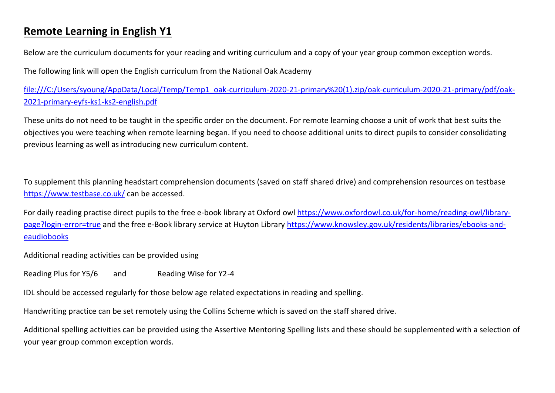## **Remote Learning in English Y1**

Below are the curriculum documents for your reading and writing curriculum and a copy of your year group common exception words.

The following link will open the English curriculum from the National Oak Academy

[file:///C:/Users/syoung/AppData/Local/Temp/Temp1\\_oak-curriculum-2020-21-primary%20\(1\).zip/oak-curriculum-2020-21-primary/pdf/oak-](file:///C:/Users/syoung/AppData/Local/Temp/Temp1_oak-curriculum-2020-21-primary%20(1).zip/oak-curriculum-2020-21-primary/pdf/oak-2021-primary-eyfs-ks1-ks2-english.pdf)[2021-primary-eyfs-ks1-ks2-english.pdf](file:///C:/Users/syoung/AppData/Local/Temp/Temp1_oak-curriculum-2020-21-primary%20(1).zip/oak-curriculum-2020-21-primary/pdf/oak-2021-primary-eyfs-ks1-ks2-english.pdf)

These units do not need to be taught in the specific order on the document. For remote learning choose a unit of work that best suits the objectives you were teaching when remote learning began. If you need to choose additional units to direct pupils to consider consolidating previous learning as well as introducing new curriculum content.

To supplement this planning headstart comprehension documents (saved on staff shared drive) and comprehension resources on testbase <https://www.testbase.co.uk/> can be accessed.

For daily reading practise direct pupils to the free e-book library at Oxford owl [https://www.oxfordowl.co.uk/for-home/reading-owl/library](https://www.oxfordowl.co.uk/for-home/reading-owl/library-page?login-error=true)[page?login-error=true](https://www.oxfordowl.co.uk/for-home/reading-owl/library-page?login-error=true) and the free e-Book library service at Huyton Library [https://www.knowsley.gov.uk/residents/libraries/ebooks-and](https://www.knowsley.gov.uk/residents/libraries/ebooks-and-eaudiobooks)[eaudiobooks](https://www.knowsley.gov.uk/residents/libraries/ebooks-and-eaudiobooks)

Additional reading activities can be provided using

Reading Plus for Y5/6 and Reading Wise for Y2-4

IDL should be accessed regularly for those below age related expectations in reading and spelling.

Handwriting practice can be set remotely using the Collins Scheme which is saved on the staff shared drive.

Additional spelling activities can be provided using the Assertive Mentoring Spelling lists and these should be supplemented with a selection of your year group common exception words.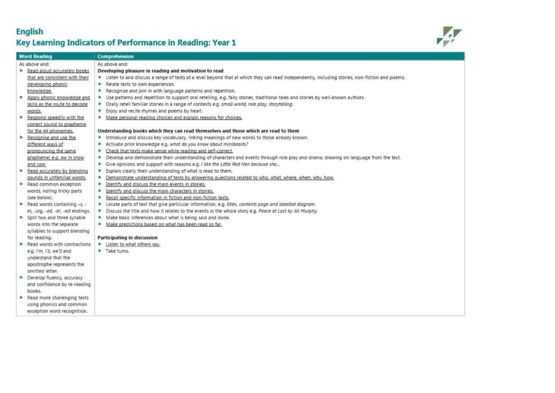## **English** Key Learning Indicators of Performance in Reading: Year 1



| <b>Word Reading</b>                         | Comprehension                                                                                                                                   |
|---------------------------------------------|-------------------------------------------------------------------------------------------------------------------------------------------------|
| As above and:                               | As above and:                                                                                                                                   |
| Read aloud accurately books<br>٠            | Developing pleasure in reading and motivation to read                                                                                           |
| that are consistent with their              | > Listen to and discuss a range of texts at a level beyond that at which they can read independently, including stories, non-fiction and poems. |
| developing phonic                           | Relate texts to own experiences.                                                                                                                |
| knowledge.                                  | Recognise and join in with language patterns and repetition.<br>×.                                                                              |
| Apply phonic knowledge and<br>►             | > Use patterns and repetition to support oral retelling, e.g. fairy stories, traditional tales and stories by well-known authors.               |
| skills as the route to decode               | • Orally retell familiar stories in a range of contexts e.g. small world, role play, storytelling.                                              |
| words.                                      | Enjoy and recite rhymes and poems by heart.                                                                                                     |
| Respond speedily with the<br>٠              | Make personal reading choices and explain reasons for choices.                                                                                  |
| correct sound to grapheme                   |                                                                                                                                                 |
| for the 44 phonemes.                        | Understanding books which they can read themselves and those which are read to them                                                             |
| Recognise and use the<br>×.                 | Introduce and discuss key vocabulary, linking meanings of new words to those already known.                                                     |
| different ways of                           | Activate prior knowledge e.g. what do you know about minibeasts?                                                                                |
| pronouncing the same                        | • Check that texts make sense while reading and self-correct,                                                                                   |
| grapheme; e.g. ow in snow                   | Develop and demonstrate their understanding of characters and events through role play and drama, drawing on language from the text.<br>Þ.      |
| and cow.                                    | Give opinions and support with reasons e.g. I like the Little Red Hen because she<br>٠                                                          |
| Read accurately by blending                 | Explain clearly their understanding of what is read to them.<br>Þ.                                                                              |
| sounds in unfamiliar words.                 | Demonstrate understanding of texts by answering questions related to who, what, where, when, why, how.                                          |
| $\blacktriangleright$ Read common exception | Identify and discuss the main events in stories.<br>×.                                                                                          |
| words, noting tricky parts                  | Identify and discuss the main characters in stories.<br>٠                                                                                       |
| (see below).                                | Recall specific information in fiction and non-fiction texts.<br>×.                                                                             |
| Read words containing $-5$ .                | > Locate parts of text that give particular information, e.g. titles, contents page and labelled diagram.                                       |
| es, -ing, -ed, -er, -est endings.           | > Discuss the title and how it relates to the events in the whole story e.g. Peace at Last by Jill Murphy.                                      |
| > Split two and three syllable              | Make basic inferences about what is being said and done.                                                                                        |
| words into the separate                     | Make predictions based on what has been read so far,                                                                                            |
| syllables to support blending               |                                                                                                                                                 |
| for reading.                                | Participating in discussion                                                                                                                     |
| Read words with contractions<br>►           | Listen to what others say.                                                                                                                      |
| e.g. I'm, I'll, we'll and                   | Take turns.                                                                                                                                     |
| understand that the                         |                                                                                                                                                 |
| apostrophe represents the                   |                                                                                                                                                 |
| omitted letter.                             |                                                                                                                                                 |
| Develop fluency, accuracy                   |                                                                                                                                                 |
| and confidence by re-reading                |                                                                                                                                                 |
| books.                                      |                                                                                                                                                 |
| Read more challenging texts                 |                                                                                                                                                 |
| using phonics and common                    |                                                                                                                                                 |
| exception word recognition.                 |                                                                                                                                                 |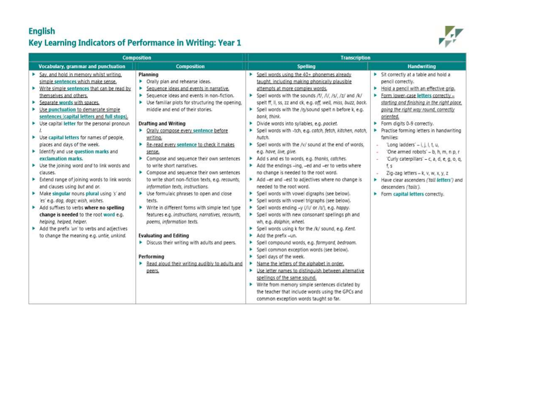## **English** Key Learning Indicators of Performance in Writing: Year 1



|                                                                                                                                                                                                                                                                                                                                                                                                                                                                                                                                                                                                                                                                                                                                                                                                                                                                                                                   | <b>Composition</b>                                                                                                                                                                                                                                                                                                                                                                                                                                                                                                                                                                                                                                                                                                                                                                                                                                                                                                                                 | <b>Transcription</b>                                                                                                                                                                                                                                                                                                                                                                                                                                                                                                                                                                                                                                                                                                                                                                                                                                                                                                                                                                                                                                                                                                                                                                                                                                                                                                                                                                                                                                                                                            |                                                                                                                                                                                                                                                                                                                                                                                                                                                                                                                                                                                                                                         |  |
|-------------------------------------------------------------------------------------------------------------------------------------------------------------------------------------------------------------------------------------------------------------------------------------------------------------------------------------------------------------------------------------------------------------------------------------------------------------------------------------------------------------------------------------------------------------------------------------------------------------------------------------------------------------------------------------------------------------------------------------------------------------------------------------------------------------------------------------------------------------------------------------------------------------------|----------------------------------------------------------------------------------------------------------------------------------------------------------------------------------------------------------------------------------------------------------------------------------------------------------------------------------------------------------------------------------------------------------------------------------------------------------------------------------------------------------------------------------------------------------------------------------------------------------------------------------------------------------------------------------------------------------------------------------------------------------------------------------------------------------------------------------------------------------------------------------------------------------------------------------------------------|-----------------------------------------------------------------------------------------------------------------------------------------------------------------------------------------------------------------------------------------------------------------------------------------------------------------------------------------------------------------------------------------------------------------------------------------------------------------------------------------------------------------------------------------------------------------------------------------------------------------------------------------------------------------------------------------------------------------------------------------------------------------------------------------------------------------------------------------------------------------------------------------------------------------------------------------------------------------------------------------------------------------------------------------------------------------------------------------------------------------------------------------------------------------------------------------------------------------------------------------------------------------------------------------------------------------------------------------------------------------------------------------------------------------------------------------------------------------------------------------------------------------|-----------------------------------------------------------------------------------------------------------------------------------------------------------------------------------------------------------------------------------------------------------------------------------------------------------------------------------------------------------------------------------------------------------------------------------------------------------------------------------------------------------------------------------------------------------------------------------------------------------------------------------------|--|
| <b>Vocabulary, grammar and punctuation</b>                                                                                                                                                                                                                                                                                                                                                                                                                                                                                                                                                                                                                                                                                                                                                                                                                                                                        | <b>Composition</b>                                                                                                                                                                                                                                                                                                                                                                                                                                                                                                                                                                                                                                                                                                                                                                                                                                                                                                                                 | <b>Spelling</b>                                                                                                                                                                                                                                                                                                                                                                                                                                                                                                                                                                                                                                                                                                                                                                                                                                                                                                                                                                                                                                                                                                                                                                                                                                                                                                                                                                                                                                                                                                 | <b>Handwriting</b>                                                                                                                                                                                                                                                                                                                                                                                                                                                                                                                                                                                                                      |  |
| Say, and hold in memory whilst writing,<br>simple sentences which make sense.<br>Write simple sentences that can be read by<br>themselves and others.<br>Separate words with spaces.<br>Use punctuation to demarcate simple<br>sentences (capital letters and full stops).<br>▶ Use capital letter for the personal pronoun<br>▶ Use capital letters for names of people,<br>places and days of the week.<br>Identify and use question marks and<br>exclamation marks.<br>▶ Use the joining word and to link words and<br>clauses.<br>Extend range of joining words to link words<br>and clauses using but and or.<br>Make singular nouns plural using 's' and<br>'es' e.g. dog, dogs; wish, wishes.<br>Add suffixes to verbs where no spelling<br>change is needed to the root word e.g.<br>helping, helped, helper.<br>Add the prefix 'un' to verbs and adjectives<br>to change the meaning e.g. untie, unkind. | Planning<br>> Orally plan and rehearse ideas.<br>Sequence ideas and events in narrative.<br>Sequence ideas and events in non-fiction.<br>►<br>Use familiar plots for structuring the opening,<br>middle and end of their stories.<br><b>Drafting and Writing</b><br>• Orally compose every sentence before<br>writing.<br>Re-read every sentence to check it makes<br>sense.<br>Compose and sequence their own sentences<br>to write short narratives.<br>Compose and sequence their own sentences<br>to write short non-fiction texts, e.g. recounts,<br>information texts, instructions.<br>> Use formulaic phrases to open and close<br>texts.<br>• Write in different forms with simple text type<br>features e.g. instructions, narratives, recounts,<br>poems, information texts.<br><b>Evaluating and Editing</b><br>Discuss their writing with adults and peers.<br>Performing<br>Read aloud their writing audibly to adults and<br>peers. | Spell words using the 40+ phonemes already<br>taught, including making phonically plausible<br>attempts at more complex words,<br>> Spell words with the sounds /t/, /l/, /s/, /z/ and /k/<br>spelt ff, il, ss, zz and ck, e.g. off, well, miss, buzz, back.<br>> Spell words with the /ŋ/sound spelt n before k, e.g.<br>bank, think.<br>Divide words into syllables, e.g. pocket.<br>Spell words with -tch, e.g. catch, fetch, kitchen, notch,<br>hutch.<br>> Spell words with the /v/ sound at the end of words,<br>e.g. have, live, give.<br>Add s and es to words, e.g. thanks, catches.<br>Add the endings -ing, -ed and -er to verbs where<br>no change is needed to the root word.<br>Add -er and -est to adjectives where no change is<br>needed to the root word.<br>Spell words with vowel digraphs (see below).<br>Spell words with vowel trigraphs (see below).<br>Spell words ending -y (/i:/ or /t/), e.g. happy.<br>> Spell words with new consonant spellings ph and<br>wh, e.g. dolphin, wheel.<br>> Spell words using k for the /k/ sound, e.g. Kent.<br>Add the prefix -un.<br>Spell compound words, e.g. farmyard, bedroom.<br>Spell common exception words (see below).<br>Spell days of the week.<br>Name the letters of the alphabet in order.<br>Use letter names to distinguish between alternative<br>spellings of the same sound.<br>> Write from memory simple sentences dictated by<br>the teacher that include words using the GPCs and<br>common exception words taught so far. | > Sit correctly at a table and hold a<br>pencil correctly.<br>Hold a pencil with an effective grip.<br>Form lower-case letters correctly -<br>starting and finishing in the right place.<br>going the right way round, correctly<br>oriented.<br>Form digits 0-9 correctly.<br>Practise forming letters in handwriting<br>families:<br>$Long$ ladders' $ i$ , $j$ , $t$ , $u$ ,<br>$\alpha$<br>'One armed robots' - b, h, m, n p, r<br>'Curly caterpillars' - c, a, d, e, g, o, q,<br>fs<br>Zig-zag letters - k, v, w, x, y, z<br>Have ciear ascenders ('tall letters') and<br>descenders ('tails').<br>Form capital letters correctly. |  |